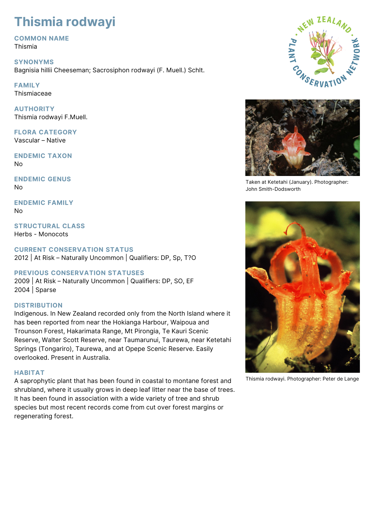# **Thismia rodwayi**

## **COMMON NAME**

Thismia

#### **SYNONYMS**

Bagnisia hillii Cheeseman; Sacrosiphon rodwayi (F. Muell.) Schlt.

# **FAMILY**

Thismiaceae

**AUTHORITY** Thismia rodwayi F.Muell.

**FLORA CATEGORY** Vascular – Native

**ENDEMIC TAXON** No

**ENDEMIC GENUS** No

**ENDEMIC FAMILY** No

**STRUCTURAL CLASS** Herbs - Monocots

#### **CURRENT CONSERVATION STATUS**

2012 | At Risk – Naturally Uncommon | Qualifiers: DP, Sp, T?O

### **PREVIOUS CONSERVATION STATUSES**

2009 | At Risk – Naturally Uncommon | Qualifiers: DP, SO, EF 2004 | Sparse

#### **DISTRIBUTION**

Indigenous. In New Zealand recorded only from the North Island where it has been reported from near the Hokianga Harbour, Waipoua and Trounson Forest, Hakarimata Range, Mt Pirongia, Te Kauri Scenic Reserve, Walter Scott Reserve, near Taumarunui, Taurewa, near Ketetahi Springs (Tongariro), Taurewa, and at Opepe Scenic Reserve. Easily overlooked. Present in Australia.

#### **HABITAT**

A saprophytic plant that has been found in coastal to montane forest and shrubland, where it usually grows in deep leaf litter near the base of trees. It has been found in association with a wide variety of tree and shrub species but most recent records come from cut over forest margins or regenerating forest.





Taken at Ketetahi (January). Photographer: John Smith-Dodsworth



Thismia rodwayi. Photographer: Peter de Lange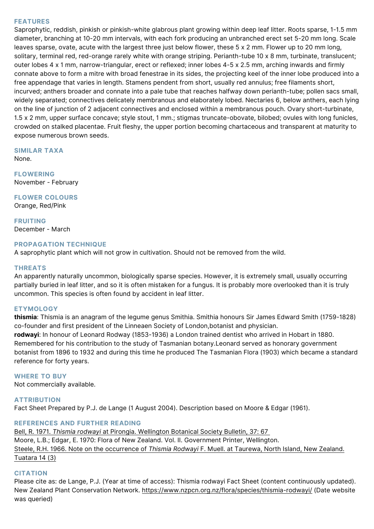#### **FEATURES**

Saprophytic, reddish, pinkish or pinkish-white glabrous plant growing within deep leaf litter. Roots sparse, 1-1.5 mm diameter, branching at 10-20 mm intervals, with each fork producing an unbranched erect set 5-20 mm long. Scale leaves sparse, ovate, acute with the largest three just below flower, these 5 x 2 mm. Flower up to 20 mm long, solitary, terminal red, red-orange rarely white with orange striping. Perianth-tube 10 x 8 mm, turbinate, translucent; outer lobes 4 x 1 mm, narrow-triangular, erect or reflexed; inner lobes 4-5 x 2.5 mm, arching inwards and firmly connate above to form a mitre with broad fenestrae in its sides, the projecting keel of the inner lobe produced into a free appendage that varies in length. Stamens pendent from short, usually red annulus; free filaments short, incurved; anthers broader and connate into a pale tube that reaches halfway down perianth-tube; pollen sacs small, widely separated; connectives delicately membranous and elaborately lobed. Nectaries 6, below anthers, each lying on the line of junction of 2 adjacent connectives and enclosed within a membranous pouch. Ovary short-turbinate, 1.5 x 2 mm, upper surface concave; style stout, 1 mm.; stigmas truncate-obovate, bilobed; ovules with long funicles, crowded on stalked placentae. Fruit fleshy, the upper portion becoming chartaceous and transparent at maturity to expose numerous brown seeds.

**SIMILAR TAXA** None.

**FLOWERING** November - February

**FLOWER COLOURS** Orange, Red/Pink

**FRUITING** December - March

#### **PROPAGATION TECHNIQUE**

A saprophytic plant which will not grow in cultivation. Should not be removed from the wild.

#### **THREATS**

An apparently naturally uncommon, biologically sparse species. However, it is extremely small, usually occurring partially buried in leaf litter, and so it is often mistaken for a fungus. It is probably more overlooked than it is truly uncommon. This species is often found by accident in leaf litter.

#### **ETYMOLOGY**

**thismia**: Thismia is an anagram of the legume genus Smithia. Smithia honours Sir James Edward Smith (1759-1828) co-founder and first president of the Linneaen Society of London,botanist and physician. **rodwayi**: In honour of Leonard Rodway (1853-1936) a London trained dentist who arrived in Hobart in 1880. Remembered for his contribution to the study of Tasmanian botany.Leonard served as honorary government botanist from 1896 to 1932 and during this time he produced The Tasmanian Flora (1903) which became a standard reference for forty years.

#### **WHERE TO BUY**

Not commercially available.

#### **ATTRIBUTION**

Fact Sheet Prepared by P.J. de Lange (1 August 2004). Description based on Moore & Edgar (1961).

#### **REFERENCES AND FURTHER READING**

[Bell, R. 1971.](http://bts.nzpcn.org.nz/bts_pdf/Well_1971_37__67.pdf) *[Thismia rodwayi](http://bts.nzpcn.org.nz/bts_pdf/Well_1971_37__67.pdf)* [at Pirongia. Wellington Botanical Society Bulletin, 37: 67](http://bts.nzpcn.org.nz/bts_pdf/Well_1971_37__67.pdf)  Moore, L.B.; Edgar, E. 1970: Flora of New Zealand. Vol. II. Government Printer, Wellington. [Steele, R.H. 1966. Note on the occurrence of](http://www.nzetc.org/tm/scholarly/tei-Bio14Tuat03-t1-body-d3.html) *[Thismia Rodwayi](http://www.nzetc.org/tm/scholarly/tei-Bio14Tuat03-t1-body-d3.html)* [F. Muell. at Taurewa, North Island, New Zealand.](http://www.nzetc.org/tm/scholarly/tei-Bio14Tuat03-t1-body-d3.html) [Tuatara 14 \(3\)](http://www.nzetc.org/tm/scholarly/tei-Bio14Tuat03-t1-body-d3.html)

#### **CITATION**

Please cite as: de Lange, P.J. (Year at time of access): Thismia rodwayi Fact Sheet (content continuously updated). New Zealand Plant Conservation Network. <https://www.nzpcn.org.nz/flora/species/thismia-rodwayi/> (Date website was queried)